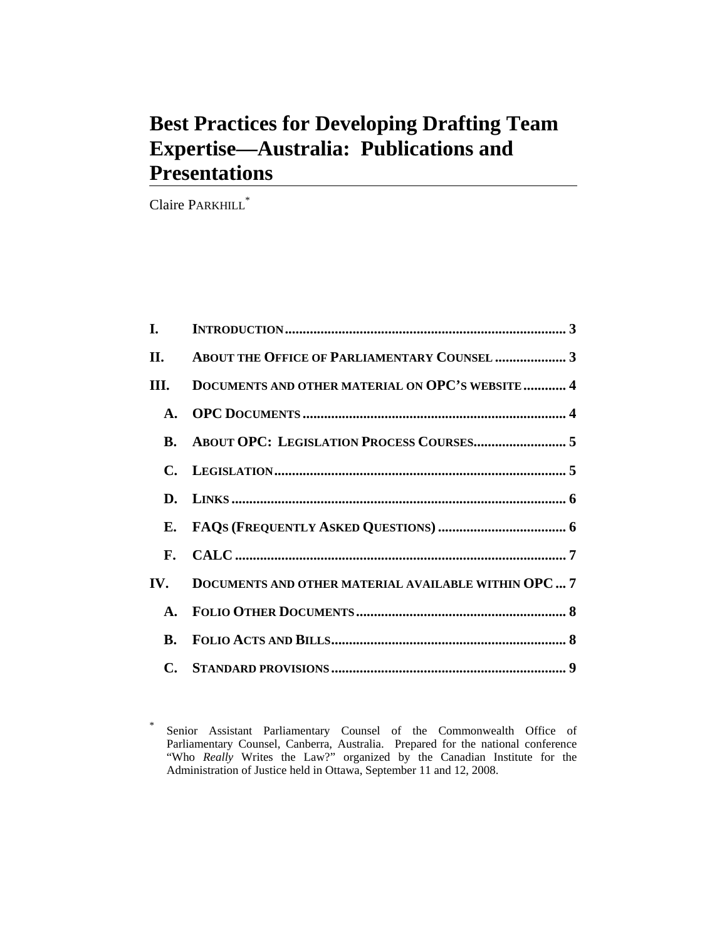# **Best Practices for Developing Drafting Team Expertise—Australia: Publications and Presentations**

Claire PARKHILL<sup>\*</sup>

\*

| II. ABOUT THE OFFICE OF PARLIAMENTARY COUNSEL  3        |
|---------------------------------------------------------|
| III. DOCUMENTS AND OTHER MATERIAL ON OPC'S WEBSITE  4   |
|                                                         |
|                                                         |
|                                                         |
|                                                         |
|                                                         |
|                                                         |
| IV. DOCUMENTS AND OTHER MATERIAL AVAILABLE WITHIN OPC 7 |
|                                                         |
|                                                         |
|                                                         |

Senior Assistant Parliamentary Counsel of the Commonwealth Office of Parliamentary Counsel, Canberra, Australia. Prepared for the national conference "Who *Really* Writes the Law?" organized by the Canadian Institute for the Administration of Justice held in Ottawa, September 11 and 12, 2008.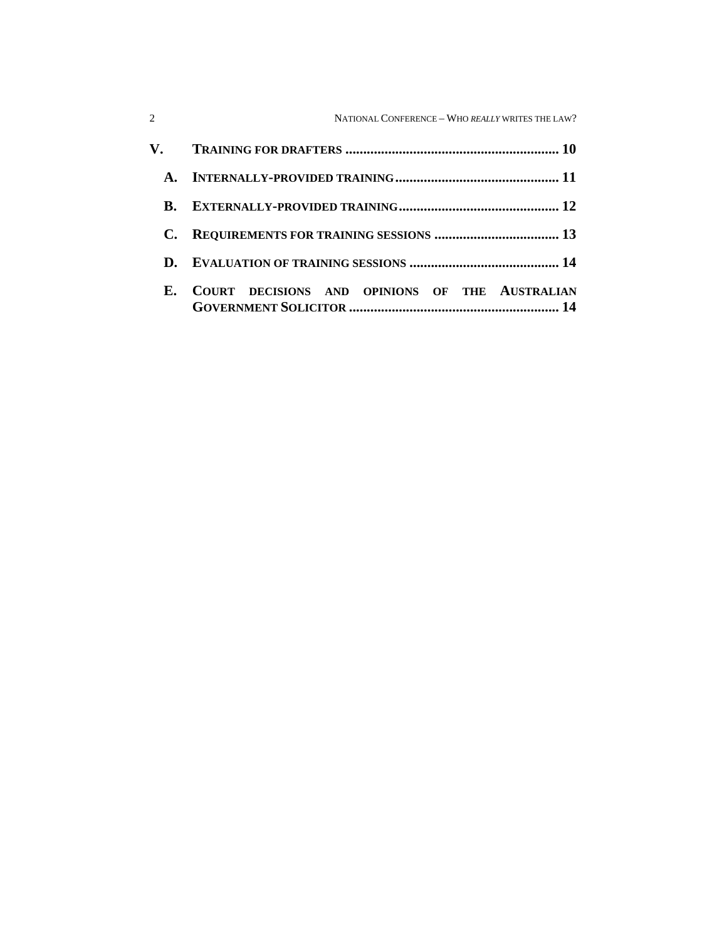|    | V.         TRAINING FOR DRAFTERS ………………………………………………………… 10 |
|----|------------------------------------------------------------|
|    |                                                            |
| B. |                                                            |
|    | <b>REQUIREMENTS FOR TRAINING SESSIONS  13</b>              |
|    |                                                            |
| E. | COURT DECISIONS AND OPINIONS OF THE AUSTRALIAN             |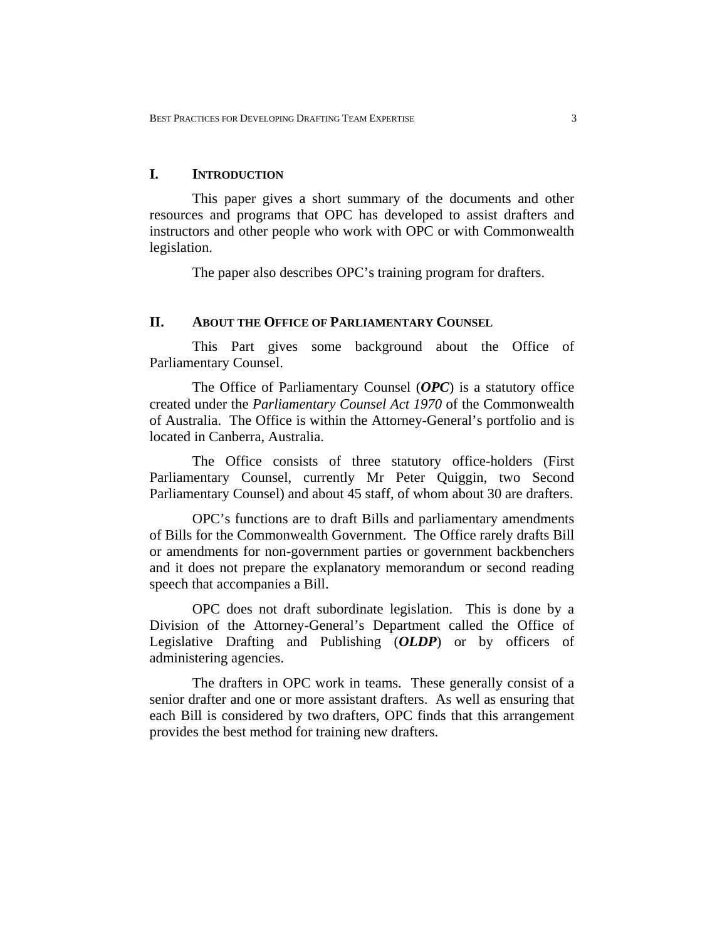#### **I. INTRODUCTION**

This paper gives a short summary of the documents and other resources and programs that OPC has developed to assist drafters and instructors and other people who work with OPC or with Commonwealth legislation.

The paper also describes OPC's training program for drafters.

### **II. ABOUT THE OFFICE OF PARLIAMENTARY COUNSEL**

This Part gives some background about the Office of Parliamentary Counsel.

The Office of Parliamentary Counsel (*OPC*) is a statutory office created under the *Parliamentary Counsel Act 1970* of the Commonwealth of Australia. The Office is within the Attorney-General's portfolio and is located in Canberra, Australia.

The Office consists of three statutory office-holders (First Parliamentary Counsel, currently Mr Peter Quiggin, two Second Parliamentary Counsel) and about 45 staff, of whom about 30 are drafters.

OPC's functions are to draft Bills and parliamentary amendments of Bills for the Commonwealth Government. The Office rarely drafts Bill or amendments for non-government parties or government backbenchers and it does not prepare the explanatory memorandum or second reading speech that accompanies a Bill.

OPC does not draft subordinate legislation. This is done by a Division of the Attorney-General's Department called the Office of Legislative Drafting and Publishing (*OLDP*) or by officers of administering agencies.

The drafters in OPC work in teams. These generally consist of a senior drafter and one or more assistant drafters. As well as ensuring that each Bill is considered by two drafters, OPC finds that this arrangement provides the best method for training new drafters.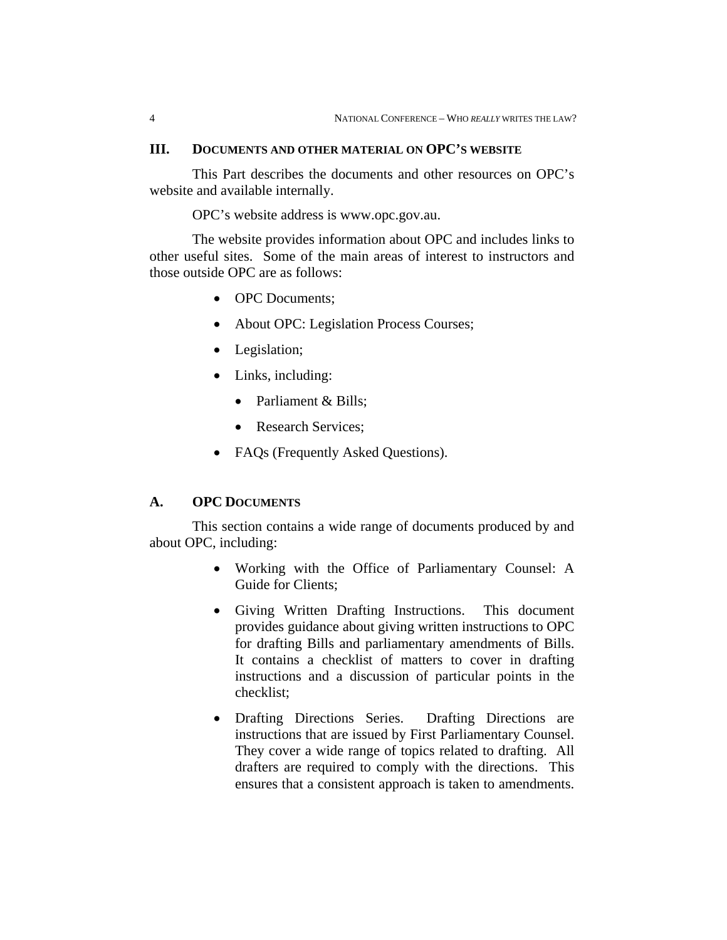#### **III. DOCUMENTS AND OTHER MATERIAL ON OPC'S WEBSITE**

This Part describes the documents and other resources on OPC's website and available internally.

OPC's website address is www.opc.gov.au.

The website provides information about OPC and includes links to other useful sites. Some of the main areas of interest to instructors and those outside OPC are as follows:

- OPC Documents:
- About OPC: Legislation Process Courses;
- Legislation;
- Links, including:
	- Parliament & Bills;
	- Research Services;
- FAQs (Frequently Asked Questions).

## **A. OPC DOCUMENTS**

This section contains a wide range of documents produced by and about OPC, including:

- Working with the Office of Parliamentary Counsel: A Guide for Clients;
- Giving Written Drafting Instructions. This document provides guidance about giving written instructions to OPC for drafting Bills and parliamentary amendments of Bills. It contains a checklist of matters to cover in drafting instructions and a discussion of particular points in the checklist;
- Drafting Directions Series. Drafting Directions are instructions that are issued by First Parliamentary Counsel. They cover a wide range of topics related to drafting. All drafters are required to comply with the directions. This ensures that a consistent approach is taken to amendments.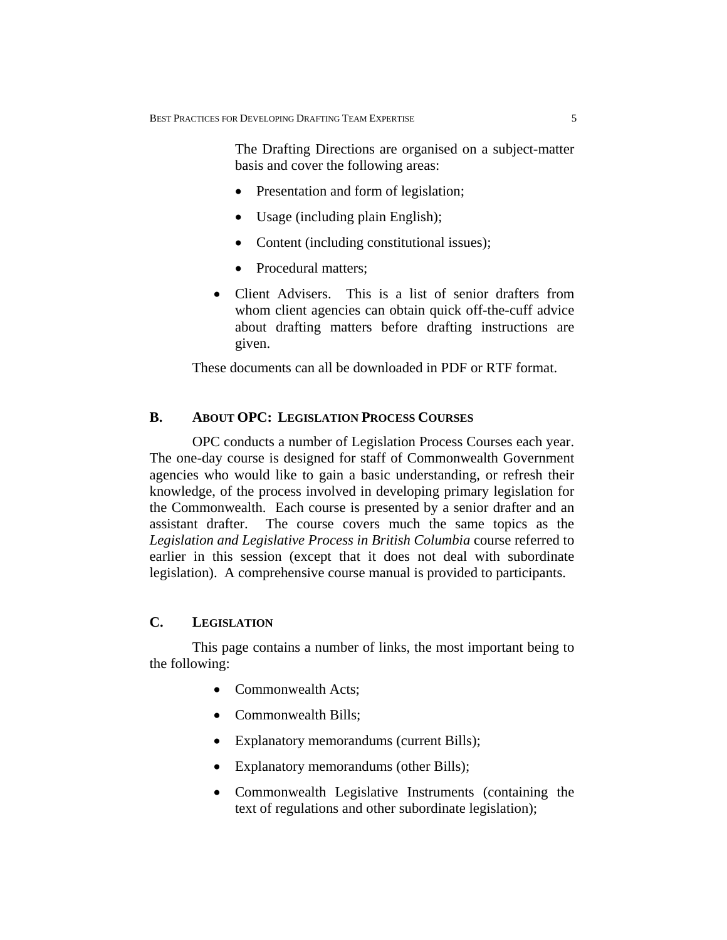The Drafting Directions are organised on a subject-matter basis and cover the following areas:

- Presentation and form of legislation;
- Usage (including plain English);
- Content (including constitutional issues);
- Procedural matters;
- Client Advisers. This is a list of senior drafters from whom client agencies can obtain quick off-the-cuff advice about drafting matters before drafting instructions are given.

These documents can all be downloaded in PDF or RTF format.

## **B. ABOUT OPC: LEGISLATION PROCESS COURSES**

OPC conducts a number of Legislation Process Courses each year. The one-day course is designed for staff of Commonwealth Government agencies who would like to gain a basic understanding, or refresh their knowledge, of the process involved in developing primary legislation for the Commonwealth. Each course is presented by a senior drafter and an assistant drafter. The course covers much the same topics as the *Legislation and Legislative Process in British Columbia* course referred to earlier in this session (except that it does not deal with subordinate legislation). A comprehensive course manual is provided to participants.

# **C. LEGISLATION**

This page contains a number of links, the most important being to the following:

- Commonwealth Acts;
- Commonwealth Bills:
- Explanatory memorandums (current Bills);
- Explanatory memorandums (other Bills);
- Commonwealth Legislative Instruments (containing the text of regulations and other subordinate legislation);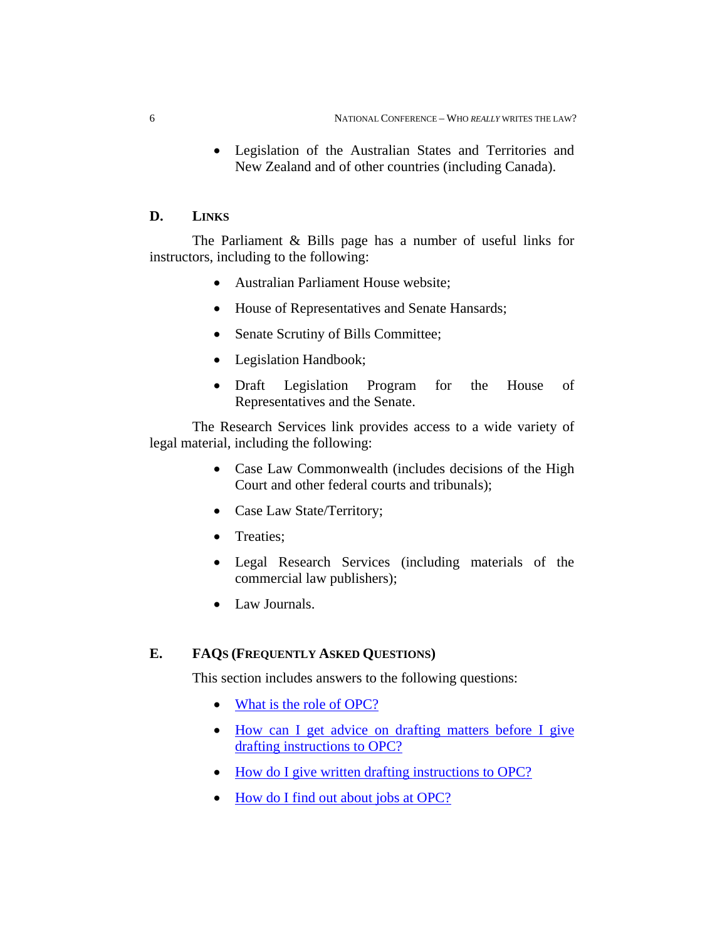Legislation of the Australian States and Territories and New Zealand and of other countries (including Canada).

#### **D. LINKS**

The Parliament & Bills page has a number of useful links for instructors, including to the following:

- Australian Parliament House website:
- House of Representatives and Senate Hansards;
- Senate Scrutiny of Bills Committee;
- Legislation Handbook;
- Draft Legislation Program for the House of Representatives and the Senate.

The Research Services link provides access to a wide variety of legal material, including the following:

- Case Law Commonwealth (includes decisions of the High Court and other federal courts and tribunals);
- Case Law State/Territory;
- Treaties;
- Legal Research Services (including materials of the commercial law publishers);
- Law Journals.

# **E. FAQS (FREQUENTLY ASKED QUESTIONS)**

This section includes answers to the following questions:

- What is the role of OPC?
- How can I get advice on drafting matters before I give drafting instructions to OPC?
- How do I give written drafting instructions to OPC?
- How do I find out about jobs at OPC?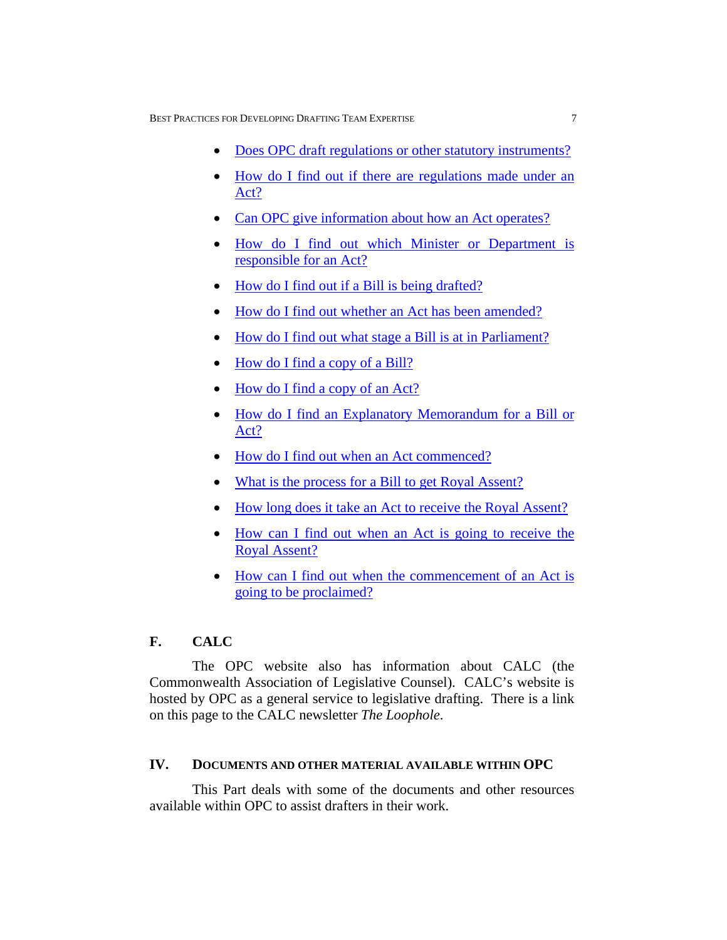BEST PRACTICES FOR DEVELOPING DRAFTING TEAM EXPERTISE 7

- Does OPC draft regulations or other statutory instruments?
- How do I find out if there are regulations made under an Act?
- Can OPC give information about how an Act operates?
- How do I find out which Minister or Department is responsible for an Act?
- How do I find out if a Bill is being drafted?
- How do I find out whether an Act has been amended?
- How do I find out what stage a Bill is at in Parliament?
- How do I find a copy of a Bill?
- How do I find a copy of an Act?
- How do I find an Explanatory Memorandum for a Bill or Act?
- How do I find out when an Act commenced?
- What is the process for a Bill to get Royal Assent?
- How long does it take an Act to receive the Royal Assent?
- How can I find out when an Act is going to receive the Royal Assent?
- How can I find out when the commencement of an Act is going to be proclaimed?

# **F. CALC**

The OPC website also has information about CALC (the Commonwealth Association of Legislative Counsel). CALC's website is hosted by OPC as a general service to legislative drafting. There is a link on this page to the CALC newsletter *The Loophole*.

# **IV. DOCUMENTS AND OTHER MATERIAL AVAILABLE WITHIN OPC**

This Part deals with some of the documents and other resources available within OPC to assist drafters in their work.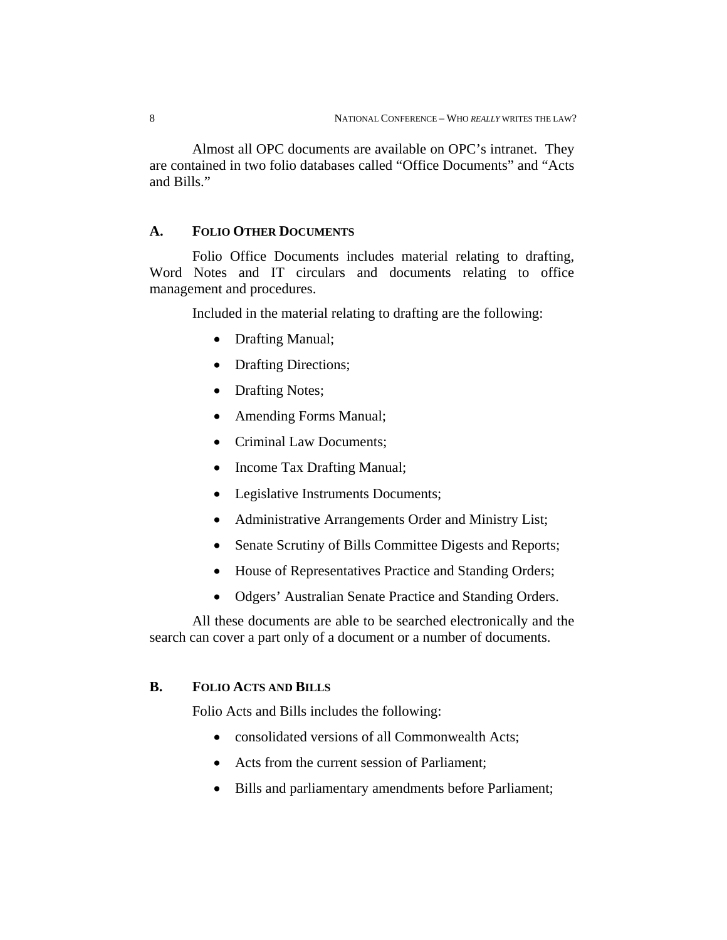Almost all OPC documents are available on OPC's intranet. They are contained in two folio databases called "Office Documents" and "Acts and Bills."

# **A. FOLIO OTHER DOCUMENTS**

Folio Office Documents includes material relating to drafting, Word Notes and IT circulars and documents relating to office management and procedures.

Included in the material relating to drafting are the following:

- Drafting Manual;
- Drafting Directions;
- Drafting Notes;
- Amending Forms Manual;
- Criminal Law Documents;
- Income Tax Drafting Manual;
- Legislative Instruments Documents;
- Administrative Arrangements Order and Ministry List;
- Senate Scrutiny of Bills Committee Digests and Reports;
- House of Representatives Practice and Standing Orders;
- Odgers' Australian Senate Practice and Standing Orders.

All these documents are able to be searched electronically and the search can cover a part only of a document or a number of documents.

# **B. FOLIO ACTS AND BILLS**

Folio Acts and Bills includes the following:

- consolidated versions of all Commonwealth Acts;
- Acts from the current session of Parliament;
- Bills and parliamentary amendments before Parliament;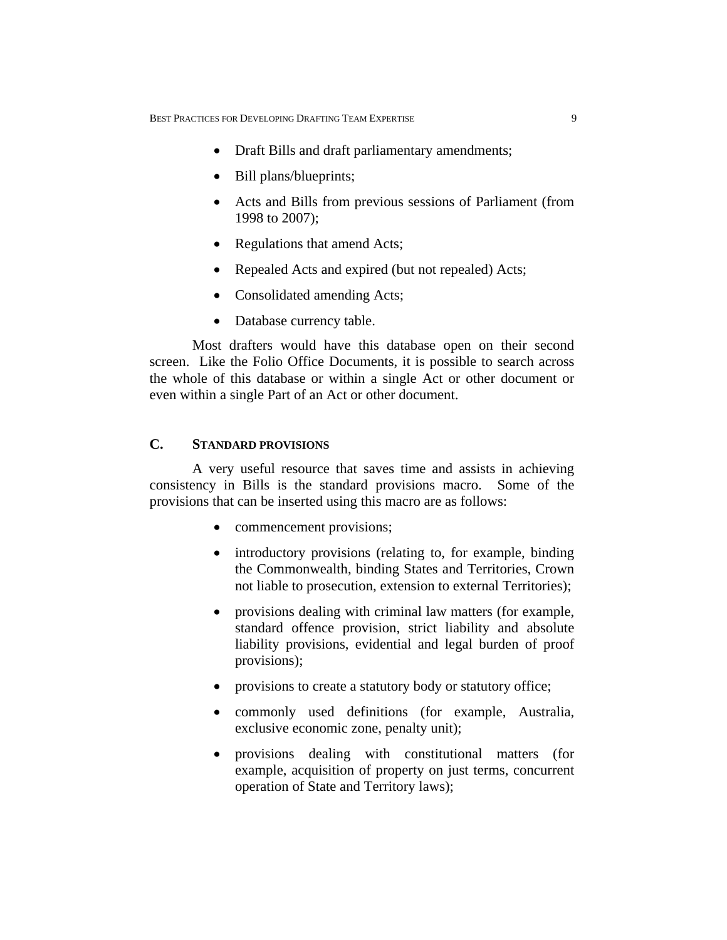- Draft Bills and draft parliamentary amendments;
- Bill plans/blueprints;
- Acts and Bills from previous sessions of Parliament (from 1998 to 2007);
- Regulations that amend Acts;
- Repealed Acts and expired (but not repealed) Acts;
- Consolidated amending Acts;
- Database currency table.

Most drafters would have this database open on their second screen. Like the Folio Office Documents, it is possible to search across the whole of this database or within a single Act or other document or even within a single Part of an Act or other document.

# **C. STANDARD PROVISIONS**

A very useful resource that saves time and assists in achieving consistency in Bills is the standard provisions macro. Some of the provisions that can be inserted using this macro are as follows:

- commencement provisions;
- introductory provisions (relating to, for example, binding the Commonwealth, binding States and Territories, Crown not liable to prosecution, extension to external Territories);
- provisions dealing with criminal law matters (for example, standard offence provision, strict liability and absolute liability provisions, evidential and legal burden of proof provisions);
- provisions to create a statutory body or statutory office;
- commonly used definitions (for example, Australia, exclusive economic zone, penalty unit);
- provisions dealing with constitutional matters (for example, acquisition of property on just terms, concurrent operation of State and Territory laws);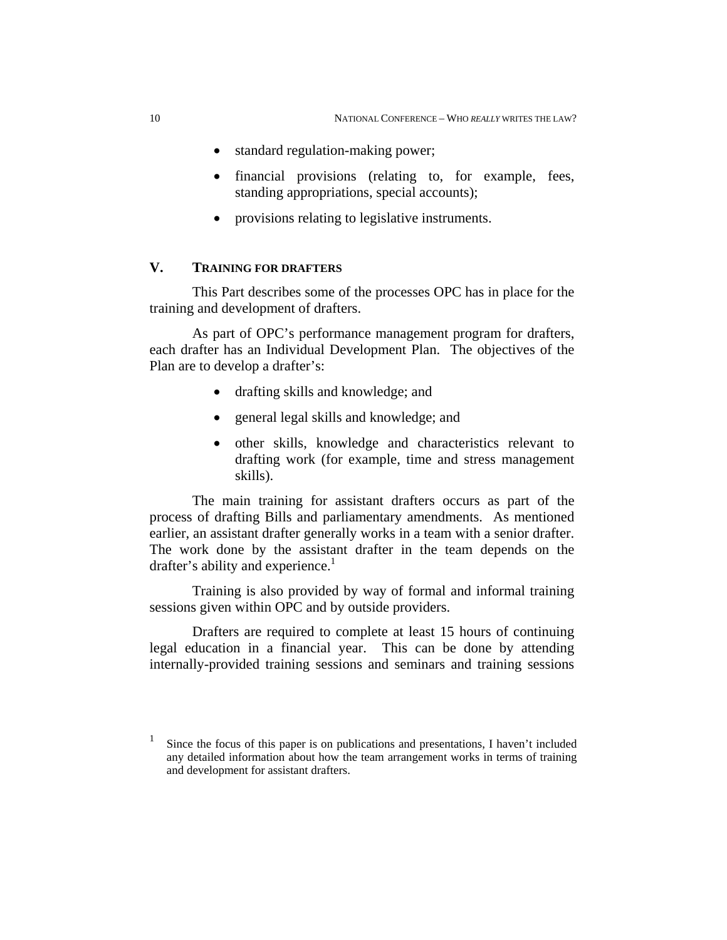- standard regulation-making power;
- financial provisions (relating to, for example, fees, standing appropriations, special accounts);
- provisions relating to legislative instruments.

# **V. TRAINING FOR DRAFTERS**

This Part describes some of the processes OPC has in place for the training and development of drafters.

As part of OPC's performance management program for drafters, each drafter has an Individual Development Plan. The objectives of the Plan are to develop a drafter's:

- drafting skills and knowledge; and
- general legal skills and knowledge; and
- other skills, knowledge and characteristics relevant to drafting work (for example, time and stress management skills).

The main training for assistant drafters occurs as part of the process of drafting Bills and parliamentary amendments. As mentioned earlier, an assistant drafter generally works in a team with a senior drafter. The work done by the assistant drafter in the team depends on the drafter's ability and experience. $<sup>1</sup>$ </sup>

Training is also provided by way of formal and informal training sessions given within OPC and by outside providers.

Drafters are required to complete at least 15 hours of continuing legal education in a financial year. This can be done by attending internally-provided training sessions and seminars and training sessions

<sup>1</sup> Since the focus of this paper is on publications and presentations, I haven't included any detailed information about how the team arrangement works in terms of training and development for assistant drafters.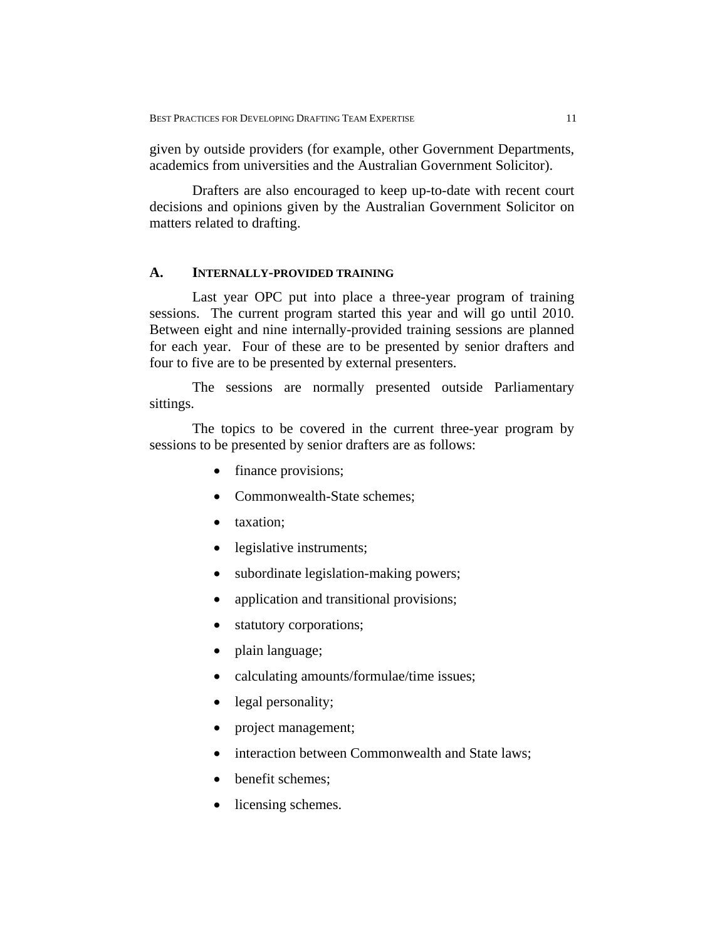given by outside providers (for example, other Government Departments, academics from universities and the Australian Government Solicitor).

Drafters are also encouraged to keep up-to-date with recent court decisions and opinions given by the Australian Government Solicitor on matters related to drafting.

#### **A. INTERNALLY-PROVIDED TRAINING**

Last year OPC put into place a three-year program of training sessions. The current program started this year and will go until 2010. Between eight and nine internally-provided training sessions are planned for each year. Four of these are to be presented by senior drafters and four to five are to be presented by external presenters.

The sessions are normally presented outside Parliamentary sittings.

The topics to be covered in the current three-year program by sessions to be presented by senior drafters are as follows:

- finance provisions;
- Commonwealth-State schemes;
- taxation;
- legislative instruments;
- subordinate legislation-making powers;
- application and transitional provisions;
- statutory corporations;
- plain language;
- calculating amounts/formulae/time issues;
- legal personality;
- project management;
- interaction between Commonwealth and State laws;
- benefit schemes:
- licensing schemes.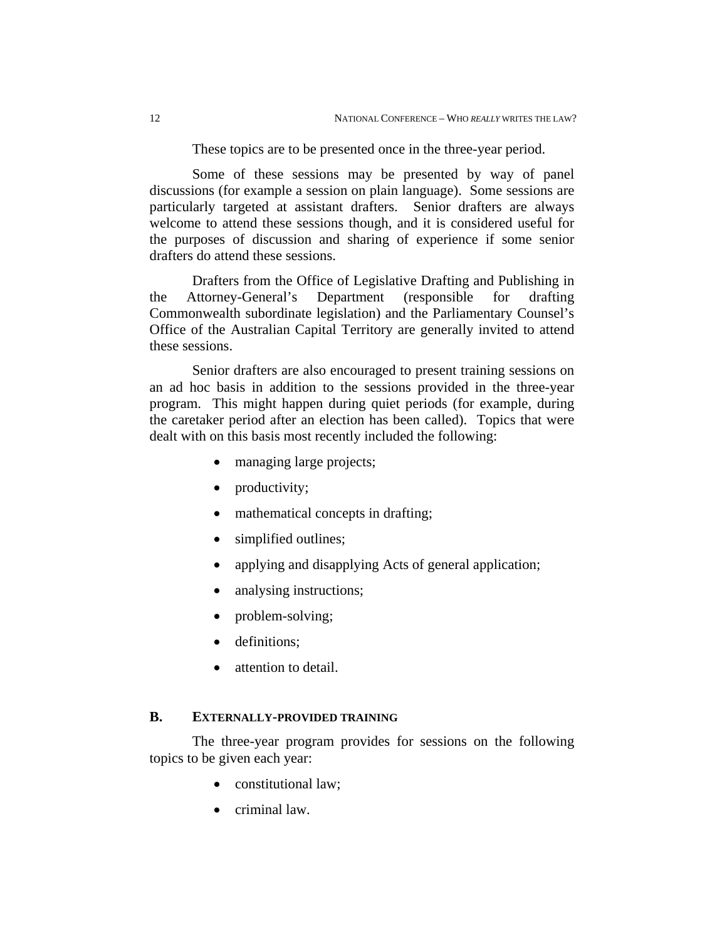These topics are to be presented once in the three-year period.

Some of these sessions may be presented by way of panel discussions (for example a session on plain language). Some sessions are particularly targeted at assistant drafters. Senior drafters are always welcome to attend these sessions though, and it is considered useful for the purposes of discussion and sharing of experience if some senior drafters do attend these sessions.

Drafters from the Office of Legislative Drafting and Publishing in the Attorney-General's Department (responsible for drafting Commonwealth subordinate legislation) and the Parliamentary Counsel's Office of the Australian Capital Territory are generally invited to attend these sessions.

Senior drafters are also encouraged to present training sessions on an ad hoc basis in addition to the sessions provided in the three-year program. This might happen during quiet periods (for example, during the caretaker period after an election has been called). Topics that were dealt with on this basis most recently included the following:

- managing large projects;
- productivity;
- mathematical concepts in drafting;
- simplified outlines;
- applying and disapplying Acts of general application;
- analysing instructions;
- problem-solving;
- definitions;
- attention to detail.

#### **B. EXTERNALLY-PROVIDED TRAINING**

The three-year program provides for sessions on the following topics to be given each year:

- constitutional law;
- criminal law.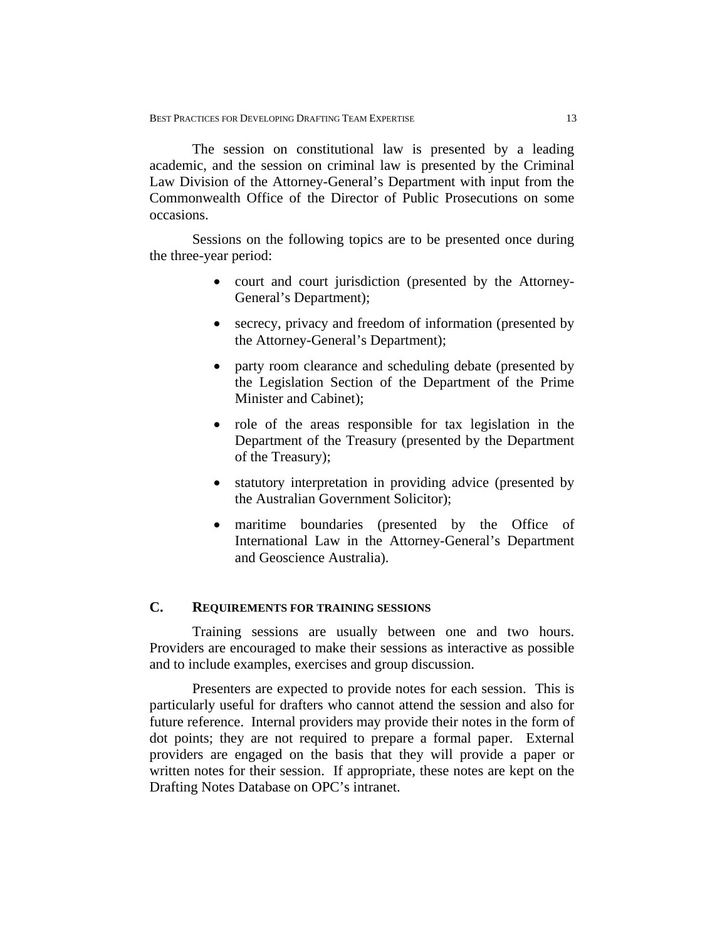The session on constitutional law is presented by a leading academic, and the session on criminal law is presented by the Criminal Law Division of the Attorney-General's Department with input from the Commonwealth Office of the Director of Public Prosecutions on some occasions.

Sessions on the following topics are to be presented once during the three-year period:

- court and court jurisdiction (presented by the Attorney-General's Department);
- secrecy, privacy and freedom of information (presented by the Attorney-General's Department);
- party room clearance and scheduling debate (presented by the Legislation Section of the Department of the Prime Minister and Cabinet);
- role of the areas responsible for tax legislation in the Department of the Treasury (presented by the Department of the Treasury);
- statutory interpretation in providing advice (presented by the Australian Government Solicitor);
- maritime boundaries (presented by the Office of International Law in the Attorney-General's Department and Geoscience Australia).

# **C. REQUIREMENTS FOR TRAINING SESSIONS**

Training sessions are usually between one and two hours. Providers are encouraged to make their sessions as interactive as possible and to include examples, exercises and group discussion.

Presenters are expected to provide notes for each session. This is particularly useful for drafters who cannot attend the session and also for future reference. Internal providers may provide their notes in the form of dot points; they are not required to prepare a formal paper. External providers are engaged on the basis that they will provide a paper or written notes for their session. If appropriate, these notes are kept on the Drafting Notes Database on OPC's intranet.